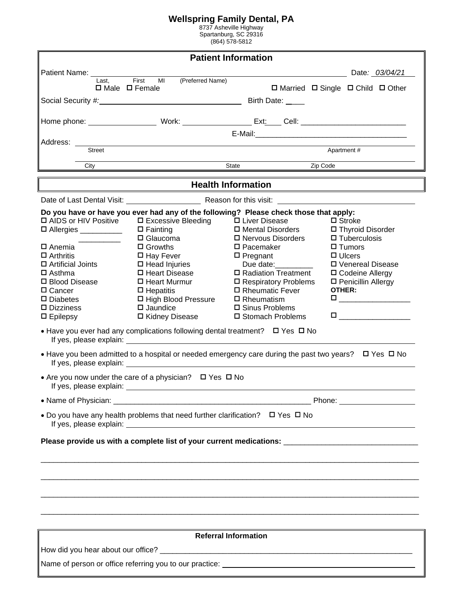### **Wellspring Family Dental, PA**

8737 Asheville Highway Spartanburg, SC 29316 (864) 578-5812

| <b>Patient Information</b>                                                                                                                                                                                                             |                                                                                                                                                                                                                                                                                                                                                                                                                                                                   |                                                                                                                                                                                                                                                               |                                                                                                                                                                              |  |  |  |
|----------------------------------------------------------------------------------------------------------------------------------------------------------------------------------------------------------------------------------------|-------------------------------------------------------------------------------------------------------------------------------------------------------------------------------------------------------------------------------------------------------------------------------------------------------------------------------------------------------------------------------------------------------------------------------------------------------------------|---------------------------------------------------------------------------------------------------------------------------------------------------------------------------------------------------------------------------------------------------------------|------------------------------------------------------------------------------------------------------------------------------------------------------------------------------|--|--|--|
| Patient Name: ________                                                                                                                                                                                                                 |                                                                                                                                                                                                                                                                                                                                                                                                                                                                   |                                                                                                                                                                                                                                                               | Date: 03/04/21                                                                                                                                                               |  |  |  |
| Last.<br>$\Box$ Male $\Box$ Female                                                                                                                                                                                                     | First<br>(Preferred Name)<br>MI                                                                                                                                                                                                                                                                                                                                                                                                                                   |                                                                                                                                                                                                                                                               | $\Box$ Married $\Box$ Single $\Box$ Child $\Box$ Other                                                                                                                       |  |  |  |
|                                                                                                                                                                                                                                        |                                                                                                                                                                                                                                                                                                                                                                                                                                                                   | Birth Date: ___                                                                                                                                                                                                                                               |                                                                                                                                                                              |  |  |  |
|                                                                                                                                                                                                                                        |                                                                                                                                                                                                                                                                                                                                                                                                                                                                   |                                                                                                                                                                                                                                                               |                                                                                                                                                                              |  |  |  |
|                                                                                                                                                                                                                                        |                                                                                                                                                                                                                                                                                                                                                                                                                                                                   |                                                                                                                                                                                                                                                               |                                                                                                                                                                              |  |  |  |
| Address:                                                                                                                                                                                                                               |                                                                                                                                                                                                                                                                                                                                                                                                                                                                   |                                                                                                                                                                                                                                                               |                                                                                                                                                                              |  |  |  |
| Street                                                                                                                                                                                                                                 |                                                                                                                                                                                                                                                                                                                                                                                                                                                                   |                                                                                                                                                                                                                                                               | Apartment #                                                                                                                                                                  |  |  |  |
| City                                                                                                                                                                                                                                   |                                                                                                                                                                                                                                                                                                                                                                                                                                                                   | State<br>Zip Code                                                                                                                                                                                                                                             |                                                                                                                                                                              |  |  |  |
|                                                                                                                                                                                                                                        |                                                                                                                                                                                                                                                                                                                                                                                                                                                                   | <b>Health Information</b>                                                                                                                                                                                                                                     |                                                                                                                                                                              |  |  |  |
|                                                                                                                                                                                                                                        | Date of Last Dental Visit: Reason for this visit:                                                                                                                                                                                                                                                                                                                                                                                                                 |                                                                                                                                                                                                                                                               |                                                                                                                                                                              |  |  |  |
|                                                                                                                                                                                                                                        | Do you have or have you ever had any of the following? Please check those that apply:                                                                                                                                                                                                                                                                                                                                                                             |                                                                                                                                                                                                                                                               |                                                                                                                                                                              |  |  |  |
| □ AIDS or HIV Positive<br>□ Allergies _________<br>$\square$ Anemia<br>$\Box$ Arthritis<br>$\Box$ Artificial Joints<br>$\Box$ Asthma<br>□ Blood Disease<br>□ Cancer<br>$\square$ Diabetes<br>$\square$ Dizziness<br>$\square$ Epilepsy | □ Excessive Bleeding<br>$\Box$ Fainting<br>$\Box$ Glaucoma<br>$\Box$ Growths<br>$\Box$ Hay Fever<br>$\Box$ Head Injuries<br>□ Heart Disease<br>□ Heart Murmur<br>$\Box$ Hepatitis<br>□ High Blood Pressure<br>$\square$ Jaundice<br>口 Kidney Disease<br>• Have you ever had any complications following dental treatment? $\Box$ Yes $\Box$ No<br>• Have you been admitted to a hospital or needed emergency care during the past two years? $\Box$ Yes $\Box$ No | □ Liver Disease<br>□ Mental Disorders<br>□ Nervous Disorders<br>$\square$ Pacemaker<br>$\square$ Pregnant<br>Due date:<br>□ Radiation Treatment<br>□ Respiratory Problems<br>□ Rheumatic Fever<br>$\Box$ Rheumatism<br>□ Sinus Problems<br>□ Stomach Problems | $\Box$ Stroke<br>□ Thyroid Disorder<br>$\Box$ Tuberculosis<br>$\square$ Tumors<br>$\Box$ Ulcers<br>ロ Venereal Disease<br>□ Codeine Allergy<br>□ Penicillin Allergy<br>OTHER: |  |  |  |
| If yes, please explain: __                                                                                                                                                                                                             | • Are you now under the care of a physician? $\Box$ Yes $\Box$ No                                                                                                                                                                                                                                                                                                                                                                                                 |                                                                                                                                                                                                                                                               |                                                                                                                                                                              |  |  |  |
|                                                                                                                                                                                                                                        |                                                                                                                                                                                                                                                                                                                                                                                                                                                                   |                                                                                                                                                                                                                                                               |                                                                                                                                                                              |  |  |  |
| • Do you have any health problems that need further clarification? $\Box$ Yes $\Box$ No                                                                                                                                                |                                                                                                                                                                                                                                                                                                                                                                                                                                                                   |                                                                                                                                                                                                                                                               |                                                                                                                                                                              |  |  |  |
| Please provide us with a complete list of your current medications: ________________________________                                                                                                                                   |                                                                                                                                                                                                                                                                                                                                                                                                                                                                   |                                                                                                                                                                                                                                                               |                                                                                                                                                                              |  |  |  |
|                                                                                                                                                                                                                                        |                                                                                                                                                                                                                                                                                                                                                                                                                                                                   |                                                                                                                                                                                                                                                               |                                                                                                                                                                              |  |  |  |
|                                                                                                                                                                                                                                        |                                                                                                                                                                                                                                                                                                                                                                                                                                                                   |                                                                                                                                                                                                                                                               |                                                                                                                                                                              |  |  |  |
|                                                                                                                                                                                                                                        |                                                                                                                                                                                                                                                                                                                                                                                                                                                                   |                                                                                                                                                                                                                                                               |                                                                                                                                                                              |  |  |  |
|                                                                                                                                                                                                                                        |                                                                                                                                                                                                                                                                                                                                                                                                                                                                   |                                                                                                                                                                                                                                                               |                                                                                                                                                                              |  |  |  |
|                                                                                                                                                                                                                                        |                                                                                                                                                                                                                                                                                                                                                                                                                                                                   | <b>Referral Information</b>                                                                                                                                                                                                                                   |                                                                                                                                                                              |  |  |  |
|                                                                                                                                                                                                                                        |                                                                                                                                                                                                                                                                                                                                                                                                                                                                   |                                                                                                                                                                                                                                                               |                                                                                                                                                                              |  |  |  |

Name of person or office referring you to our practice: \_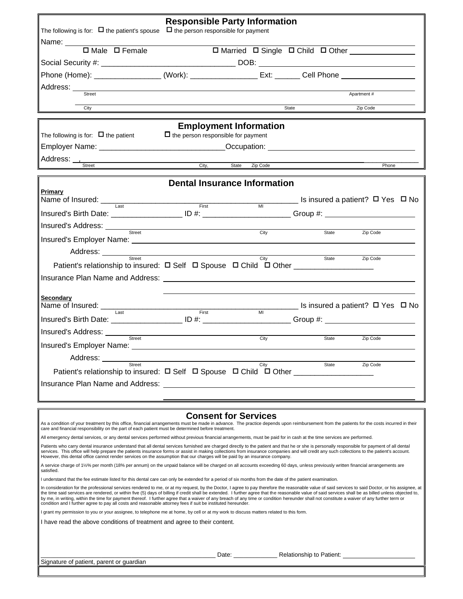|                                                                                                                                                                                                                                                                                                                                                                                                                                                                                                                                                                                                                                                                                                                             | <b>Responsible Party Information</b>                                                                                 |  |                |                                               |                              |
|-----------------------------------------------------------------------------------------------------------------------------------------------------------------------------------------------------------------------------------------------------------------------------------------------------------------------------------------------------------------------------------------------------------------------------------------------------------------------------------------------------------------------------------------------------------------------------------------------------------------------------------------------------------------------------------------------------------------------------|----------------------------------------------------------------------------------------------------------------------|--|----------------|-----------------------------------------------|------------------------------|
| The following is for: $\Box$ the patient's spouse $\Box$ the person responsible for payment                                                                                                                                                                                                                                                                                                                                                                                                                                                                                                                                                                                                                                 |                                                                                                                      |  |                |                                               |                              |
| Name: $\Box$ Male $\Box$ Female                                                                                                                                                                                                                                                                                                                                                                                                                                                                                                                                                                                                                                                                                             |                                                                                                                      |  |                |                                               |                              |
|                                                                                                                                                                                                                                                                                                                                                                                                                                                                                                                                                                                                                                                                                                                             |                                                                                                                      |  |                | □ Married □ Single □ Child □ Other __________ |                              |
|                                                                                                                                                                                                                                                                                                                                                                                                                                                                                                                                                                                                                                                                                                                             |                                                                                                                      |  |                |                                               |                              |
| Phone (Home): _____________________(Work): ____________________Ext: ________ Cell Phone ______________________                                                                                                                                                                                                                                                                                                                                                                                                                                                                                                                                                                                                              |                                                                                                                      |  |                |                                               |                              |
| Street                                                                                                                                                                                                                                                                                                                                                                                                                                                                                                                                                                                                                                                                                                                      |                                                                                                                      |  |                |                                               | Apartment#                   |
|                                                                                                                                                                                                                                                                                                                                                                                                                                                                                                                                                                                                                                                                                                                             |                                                                                                                      |  |                |                                               |                              |
| City                                                                                                                                                                                                                                                                                                                                                                                                                                                                                                                                                                                                                                                                                                                        |                                                                                                                      |  |                | State                                         | Zip Code                     |
|                                                                                                                                                                                                                                                                                                                                                                                                                                                                                                                                                                                                                                                                                                                             | <b>Employment Information</b>                                                                                        |  |                |                                               |                              |
| The following is for: $\Box$ the patient                                                                                                                                                                                                                                                                                                                                                                                                                                                                                                                                                                                                                                                                                    | $\Box$ the person responsible for payment                                                                            |  |                |                                               |                              |
|                                                                                                                                                                                                                                                                                                                                                                                                                                                                                                                                                                                                                                                                                                                             |                                                                                                                      |  |                |                                               |                              |
|                                                                                                                                                                                                                                                                                                                                                                                                                                                                                                                                                                                                                                                                                                                             |                                                                                                                      |  |                |                                               |                              |
| Street                                                                                                                                                                                                                                                                                                                                                                                                                                                                                                                                                                                                                                                                                                                      | City, State Zip Code                                                                                                 |  |                |                                               | Phone                        |
|                                                                                                                                                                                                                                                                                                                                                                                                                                                                                                                                                                                                                                                                                                                             | <b>Dental Insurance Information</b>                                                                                  |  |                |                                               |                              |
| Primary                                                                                                                                                                                                                                                                                                                                                                                                                                                                                                                                                                                                                                                                                                                     |                                                                                                                      |  |                |                                               |                              |
| Name of Insured: $\frac{1}{\text{last}}$ and $\frac{1}{\text{test}}$ are $\frac{1}{\text{first}}$ and $\frac{1}{\text{first}}$ and $\frac{1}{\text{test}}$ are $\frac{1}{\text{test}}$ are $\frac{1}{\text{test}}$ and $\frac{1}{\text{test}}$ are $\frac{1}{\text{test}}$ and $\frac{1}{\text{test}}$ are $\frac{1}{\text{test}}$ and $\frac{1}{\text{test}}$ are                                                                                                                                                                                                                                                                                                                                                          |                                                                                                                      |  |                |                                               |                              |
| Insured's Birth Date: _______________________ ID #: __________________________Group #: _____________                                                                                                                                                                                                                                                                                                                                                                                                                                                                                                                                                                                                                        |                                                                                                                      |  |                |                                               |                              |
| Insured's Address: Street                                                                                                                                                                                                                                                                                                                                                                                                                                                                                                                                                                                                                                                                                                   | <u> 1989 - Johann Stoff, Amerikaansk konst</u>                                                                       |  |                |                                               |                              |
|                                                                                                                                                                                                                                                                                                                                                                                                                                                                                                                                                                                                                                                                                                                             |                                                                                                                      |  | City           | State                                         | Zip Code                     |
| Insured's Employer Name: Name: Name: Name: Name: Name: Name: Name: Name: Name: Name: Name: Name: Name: Name: Name: Name: Name: Name: Name: Name: Name: Name: Name: Name: Name: Name: Name: Name: Name: Name: Name: Name: Name:                                                                                                                                                                                                                                                                                                                                                                                                                                                                                              |                                                                                                                      |  |                |                                               |                              |
| Address: __________<br>Street                                                                                                                                                                                                                                                                                                                                                                                                                                                                                                                                                                                                                                                                                               | <u> 1980 - Johann Barn, mars ann an t-Amhain Aonaich an t-Aonaich an t-Aonaich ann an t-Aonaich ann an t-Aonaich</u> |  | City           | State                                         | Zip Code                     |
| Patient's relationship to insured: $\Box$ Self $\Box$ Spouse $\Box$ Child $\Box$ Other _____________________                                                                                                                                                                                                                                                                                                                                                                                                                                                                                                                                                                                                                |                                                                                                                      |  |                |                                               |                              |
| Insurance Plan Name and Address: Lease Contract Contract Contract Contract Contract Contract Contract Contract Contract Contract Contract Contract Contract Contract Contract Contract Contract Contract Contract Contract Con                                                                                                                                                                                                                                                                                                                                                                                                                                                                                              |                                                                                                                      |  |                |                                               |                              |
|                                                                                                                                                                                                                                                                                                                                                                                                                                                                                                                                                                                                                                                                                                                             |                                                                                                                      |  |                |                                               |                              |
| Secondary                                                                                                                                                                                                                                                                                                                                                                                                                                                                                                                                                                                                                                                                                                                   |                                                                                                                      |  |                |                                               | Letter a patient? □ Yes □ No |
| Name of Insured: Last                                                                                                                                                                                                                                                                                                                                                                                                                                                                                                                                                                                                                                                                                                       | First                                                                                                                |  | M <sub>l</sub> |                                               |                              |
| Insured's Birth Date: ________________________ID #: _________________________Group #: ______________                                                                                                                                                                                                                                                                                                                                                                                                                                                                                                                                                                                                                        |                                                                                                                      |  |                |                                               |                              |
|                                                                                                                                                                                                                                                                                                                                                                                                                                                                                                                                                                                                                                                                                                                             |                                                                                                                      |  | City           | State                                         | Zip Code                     |
| Insured's Employer Name:                                                                                                                                                                                                                                                                                                                                                                                                                                                                                                                                                                                                                                                                                                    |                                                                                                                      |  |                |                                               |                              |
| Address: ______                                                                                                                                                                                                                                                                                                                                                                                                                                                                                                                                                                                                                                                                                                             |                                                                                                                      |  |                |                                               |                              |
| Street                                                                                                                                                                                                                                                                                                                                                                                                                                                                                                                                                                                                                                                                                                                      |                                                                                                                      |  | City           | State                                         | Zip Code                     |
| Insurance Plan Name and Address:                                                                                                                                                                                                                                                                                                                                                                                                                                                                                                                                                                                                                                                                                            |                                                                                                                      |  |                |                                               |                              |
|                                                                                                                                                                                                                                                                                                                                                                                                                                                                                                                                                                                                                                                                                                                             |                                                                                                                      |  |                |                                               |                              |
|                                                                                                                                                                                                                                                                                                                                                                                                                                                                                                                                                                                                                                                                                                                             |                                                                                                                      |  |                |                                               |                              |
|                                                                                                                                                                                                                                                                                                                                                                                                                                                                                                                                                                                                                                                                                                                             | <b>Consent for Services</b>                                                                                          |  |                |                                               |                              |
| As a condition of your treatment by this office, financial arrangements must be made in advance. The practice depends upon reimbursement from the patients for the costs incurred in their                                                                                                                                                                                                                                                                                                                                                                                                                                                                                                                                  |                                                                                                                      |  |                |                                               |                              |
| care and financial responsibility on the part of each patient must be determined before treatment.<br>All emergency dental services, or any dental services performed without previous financial arrangements, must be paid for in cash at the time services are performed.                                                                                                                                                                                                                                                                                                                                                                                                                                                 |                                                                                                                      |  |                |                                               |                              |
| Patients who carry dental insurance understand that all dental services furnished are charged directly to the patient and that he or she is personally responsible for payment of all dental                                                                                                                                                                                                                                                                                                                                                                                                                                                                                                                                |                                                                                                                      |  |                |                                               |                              |
| services. This office will help prepare the patients insurance forms or assist in making collections from insurance companies and will credit any such collections to the patient's account.<br>However, this dental office cannot render services on the assumption that our charges will be paid by an insurance company.                                                                                                                                                                                                                                                                                                                                                                                                 |                                                                                                                      |  |                |                                               |                              |
| A service charge of 1½% per month (18% per annum) on the unpaid balance will be charged on all accounts exceeding 60 days, unless previously written financial arrangements are<br>satisfied.                                                                                                                                                                                                                                                                                                                                                                                                                                                                                                                               |                                                                                                                      |  |                |                                               |                              |
| I understand that the fee estimate listed for this dental care can only be extended for a period of six months from the date of the patient examination.                                                                                                                                                                                                                                                                                                                                                                                                                                                                                                                                                                    |                                                                                                                      |  |                |                                               |                              |
| In consideration for the professional services rendered to me, or at my request, by the Doctor, I agree to pay therefore the reasonable value of said services to said Doctor, or his assignee, at<br>the time said services are rendered, or within five (5) days of billing if credit shall be extended. I further agree that the reasonable value of said services shall be as billed unless objected to,<br>by me, in writing, within the time for payment thereof. I further agree that a waiver of any breach of any time or condition hereunder shall not constitute a waiver of any further term or<br>condition and I further agree to pay all costs and reasonable attorney fees if suit be instituted hereunder. |                                                                                                                      |  |                |                                               |                              |

I grant my permission to you or your assignee, to telephone me at home, by cell or at my work to discuss matters related to this form.

I have read the above conditions of treatment and agree to their content.

Signature of patient, parent or guardian

\_\_\_\_\_\_\_\_\_\_\_\_\_\_\_\_\_\_\_\_\_\_\_\_\_\_\_\_\_\_\_\_\_\_\_\_\_\_\_\_\_\_\_\_\_\_\_\_\_\_\_\_ Date: \_\_\_\_\_\_\_\_\_\_\_\_\_ Relationship to Patient: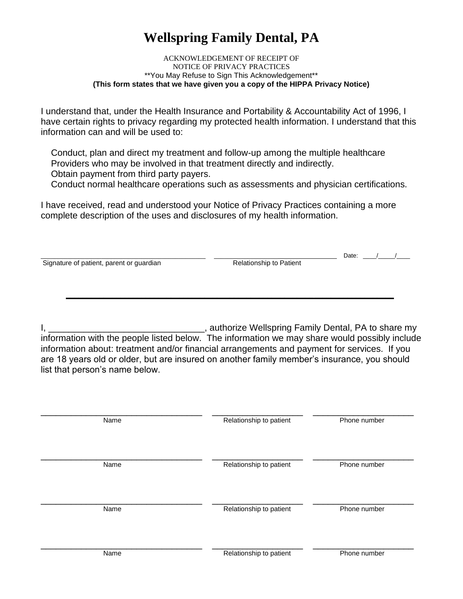# **Wellspring Family Dental, PA**

#### ACKNOWLEDGEMENT OF RECEIPT OF NOTICE OF PRIVACY PRACTICES \*\*You May Refuse to Sign This Acknowledgement\*\* **(This form states that we have given you a copy of the HIPPA Privacy Notice)**

I understand that, under the Health Insurance and Portability & Accountability Act of 1996, I have certain rights to privacy regarding my protected health information. I understand that this information can and will be used to:

 Conduct, plan and direct my treatment and follow-up among the multiple healthcare Providers who may be involved in that treatment directly and indirectly. Obtain payment from third party payers.

Conduct normal healthcare operations such as assessments and physician certifications.

I have received, read and understood your Notice of Privacy Practices containing a more complete description of the uses and disclosures of my health information.

|                                          |                                | Date: |
|------------------------------------------|--------------------------------|-------|
| Signature of patient, parent or guardian | <b>Relationship to Patient</b> |       |
|                                          |                                |       |
|                                          |                                |       |
|                                          |                                |       |

I, \_\_\_\_\_\_\_\_\_\_\_\_\_\_\_\_\_\_\_\_\_\_\_\_\_\_\_\_\_\_\_\_\_\_, authorize Wellspring Family Dental, PA to share my information with the people listed below. The information we may share would possibly include information about: treatment and/or financial arrangements and payment for services. If you are 18 years old or older, but are insured on another family member's insurance, you should list that person's name below.

| Name | Relationship to patient | Phone number |
|------|-------------------------|--------------|
| Name | Relationship to patient | Phone number |
| Name | Relationship to patient | Phone number |
| Name | Relationship to patient | Phone number |